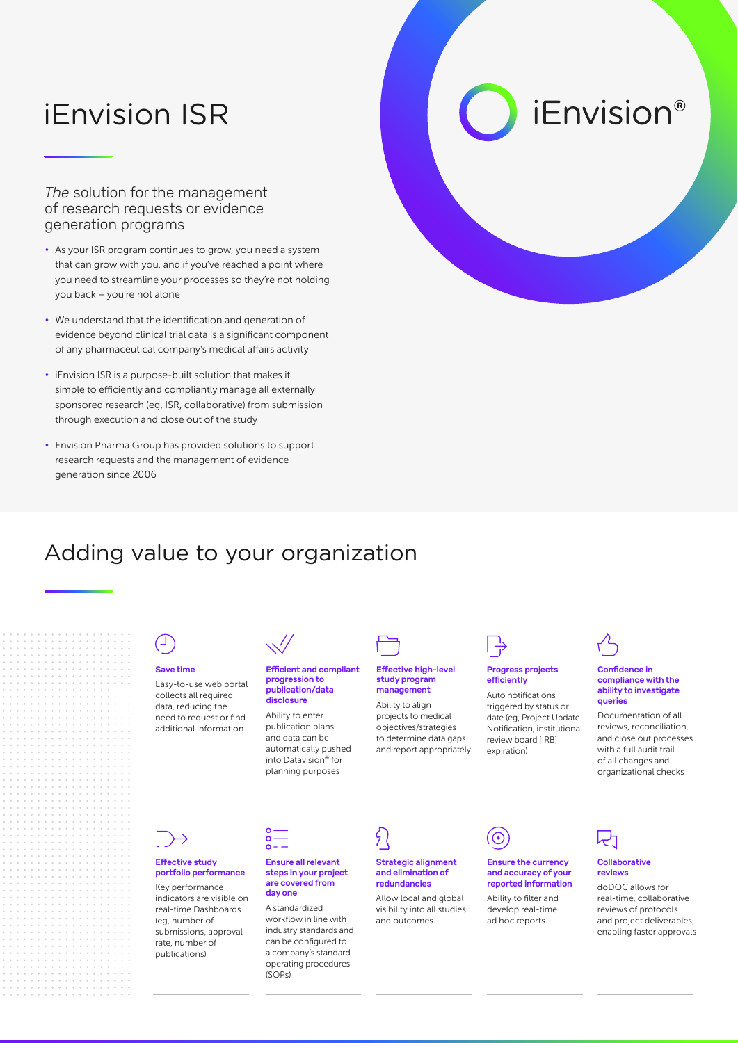## iEnvision ISR

*The* solution for the management of research requests or evidence generation programs

- As your ISR program continues to grow, you need a system that can grow with you, and if you've reached a point where you need to streamline your processes so they're not holding you back – you're not alone
- We understand that the identification and generation of evidence beyond clinical trial data is a significant component of any pharmaceutical company's medical affairs activity
- iEnvision ISR is a purpose-built solution that makes it simple to efficiently and compliantly manage all externally sponsored research (eg, ISR, collaborative) from submission through execution and close out of the study
- Envision Pharma Group has provided solutions to support research requests and the management of evidence generation since 2006

# *iEnvision®*

### Adding value to your organization

# Save time

Easy-to-use web portal collects all required data, reducing the need to request or find additional information



#### Efficient and compliant progression to publication/data disclosure

Ability to enter publication plans and data can be automatically pushed into Datavision® for planning purposes

# Effective high-level

study program management

Ability to align projects to medical objectives/strategies to determine data gaps and report appropriately



#### Progress projects efficiently

Auto notifications triggered by status or date (eg, Project Update Notification, institutional review board [IRB] expiration)



⊙

#### Ensure the currency and accuracy of your reported information

Ability to filter and develop real-time ad hoc reports



#### Confidence in compliance with the ability to investigate queries

Documentation of all reviews, reconciliation, and close out processes with a full audit trail of all changes and organizational checks



### Effective study portfolio performance

Key performance indicators are visible on real-time Dashboards (eg, number of submissions, approval rate, number of publications)



#### Ensure all relevant steps in your project Strategic alignment and elimination of redundancies

Allow local and global visibility into all studies and outcomes



#### Collaborative reviews

doDOC allows for real-time, collaborative reviews of protocols and project deliverables, enabling faster approvals

A standardized workflow in line with industry standards and can be configured to a company's standard operating procedures (SOPs)

are covered from day one